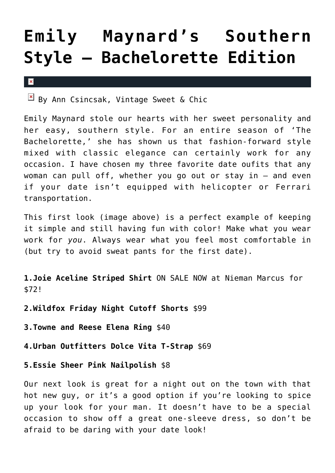## **[Emily Maynard's Southern](https://cupidspulse.com/35163/emily-maynard-bachelorette-get-the-look-ann-csincasa/) [Style – Bachelorette Edition](https://cupidspulse.com/35163/emily-maynard-bachelorette-get-the-look-ann-csincasa/)**

 $\pmb{\times}$ 

 $\frac{|\mathbf{x}|}{|\mathbf{x}|}$  By Ann Csincsak, Vintage Sweet & Chic

Emily Maynard stole our hearts with her sweet personality and her easy, southern style. For an entire season of 'The Bachelorette,' she has shown us that fashion-forward style mixed with classic elegance can certainly work for any occasion. I have chosen my three favorite date oufits that any woman can pull off, whether you go out or stay in – and even if your date isn't equipped with helicopter or Ferrari transportation.

This first look (image above) is a perfect example of keeping it simple and still having fun with color! Make what you wear work for *you*. Always wear what you feel most comfortable in (but try to avoid sweat pants for the first date).

**1.Joie Aceline Striped Shirt** ON SALE NOW at Nieman Marcus for \$72!

**2.Wildfox Friday Night Cutoff Shorts** \$99

**3.Towne and Reese Elena Ring** \$40

**4.Urban Outfitters Dolce Vita T-Strap** \$69

**5.Essie Sheer Pink Nailpolish** \$8

Our next look is great for a night out on the town with that hot new guy, or it's a good option if you're looking to spice up your look for your man. It doesn't have to be a special occasion to show off a great one-sleeve dress, so don't be afraid to be daring with your date look!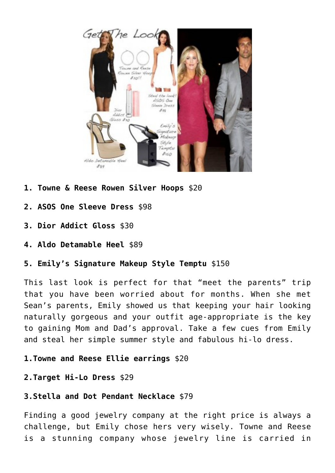

- **1. Towne & Reese Rowen Silver Hoops** \$20
- **2. ASOS One Sleeve Dress** \$98
- **3. Dior Addict Gloss** \$30
- **4. Aldo Detamable Heel** \$89
- **5. Emily's Signature Makeup Style Temptu** \$150

This last look is perfect for that "meet the parents" trip that you have been worried about for months. When she met Sean's parents, Emily showed us that keeping your hair looking naturally gorgeous and your outfit age-appropriate is the key to gaining Mom and Dad's approval. Take a few cues from Emily and steal her simple summer style and fabulous hi-lo dress.

- **1.Towne and Reese Ellie earrings** \$20
- **2.Target Hi-Lo Dress** \$29

## **3.Stella and Dot Pendant Necklace** \$79

Finding a good jewelry company at the right price is always a challenge, but Emily chose hers very wisely. Towne and Reese is a stunning company whose jewelry line is carried in